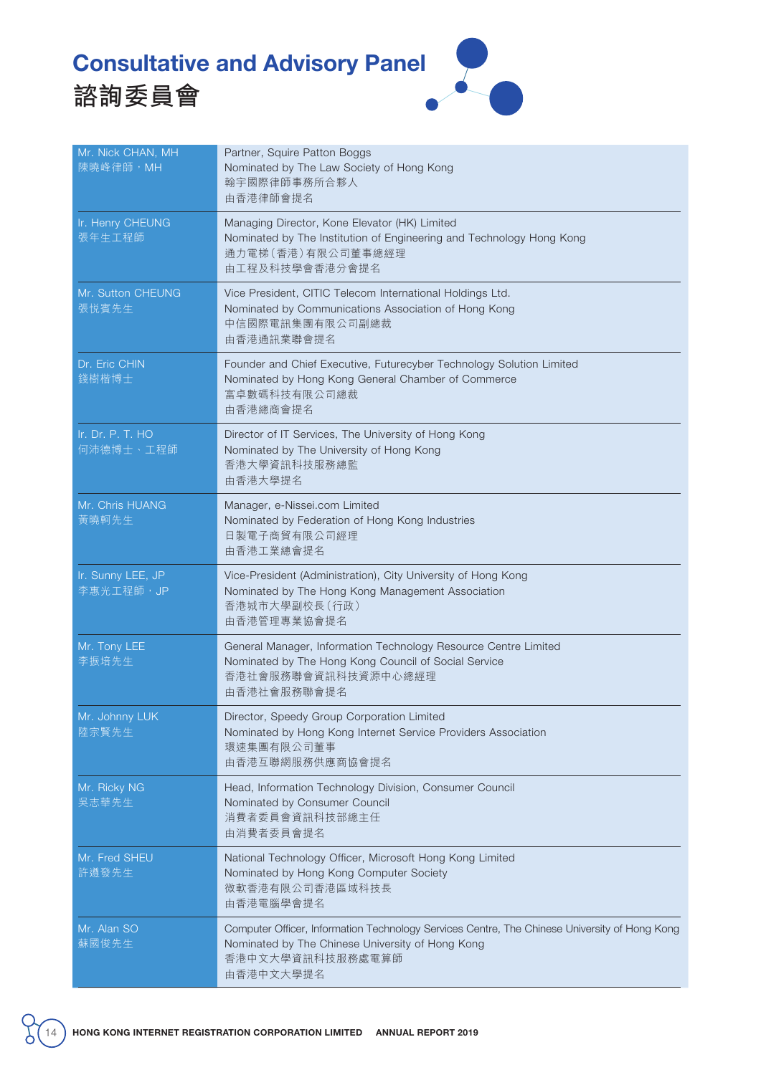## Consultative and Advisory Panel





| Mr. Nick CHAN, MH<br>陳曉峰律師,MH   | Partner, Squire Patton Boggs<br>Nominated by The Law Society of Hong Kong<br>翰宇國際律師事務所合夥人<br>由香港律師會提名                                                                              |
|---------------------------------|------------------------------------------------------------------------------------------------------------------------------------------------------------------------------------|
| Ir. Henry CHEUNG<br>張年生工程師      | Managing Director, Kone Elevator (HK) Limited<br>Nominated by The Institution of Engineering and Technology Hong Kong<br>通力電梯(香港)有限公司董事總經理<br>由工程及科技學會香港分會提名                       |
| Mr. Sutton CHEUNG<br>張悦賓先生      | Vice President, CITIC Telecom International Holdings Ltd.<br>Nominated by Communications Association of Hong Kong<br>中信國際電訊集團有限公司副總裁<br>由香港通訊業聯會提名                                 |
| Dr. Eric CHIN<br>錢樹楷博士          | Founder and Chief Executive, Futurecyber Technology Solution Limited<br>Nominated by Hong Kong General Chamber of Commerce<br>富卓數碼科技有限公司總裁<br>由香港總商會提名                             |
| Ir. Dr. P. T. HO<br>何沛德博士、工程師   | Director of IT Services, The University of Hong Kong<br>Nominated by The University of Hong Kong<br>香港大學資訊科技服務總監<br>由香港大學提名                                                        |
| Mr. Chris HUANG<br>黃曉軻先生        | Manager, e-Nissei.com Limited<br>Nominated by Federation of Hong Kong Industries<br>日製電子商貿有限公司經理<br>由香港工業總會提名                                                                      |
| Ir. Sunny LEE, JP<br>李惠光工程師, JP | Vice-President (Administration), City University of Hong Kong<br>Nominated by The Hong Kong Management Association<br>香港城市大學副校長 (行政)<br>由香港管理專業協會提名                                |
| Mr. Tony LEE<br>李振培先生           | General Manager, Information Technology Resource Centre Limited<br>Nominated by The Hong Kong Council of Social Service<br>香港社會服務聯會資訊科技資源中心總經理<br>由香港社會服務聯會提名                      |
| Mr. Johnny LUK<br>陸宗賢先生         | Director, Speedy Group Corporation Limited<br>Nominated by Hong Kong Internet Service Providers Association<br>環速集團有限公司董事<br>由香港互聯網服務供應商協會提名                                       |
| Mr. Ricky NG<br>吳志華先生           | Head, Information Technology Division, Consumer Council<br>Nominated by Consumer Council<br>消費者委員會資訊科技部總主任<br>由消費者委員會提名                                                            |
| Mr. Fred SHEU<br>許遵發先生          | National Technology Officer, Microsoft Hong Kong Limited<br>Nominated by Hong Kong Computer Society<br>微軟香港有限公司香港區域科技長<br>由香港電腦學會提名                                                |
| Mr. Alan SO<br>蘇國俊先生            | Computer Officer, Information Technology Services Centre, The Chinese University of Hong Kong<br>Nominated by The Chinese University of Hong Kong<br>香港中文大學資訊科技服務處電算師<br>由香港中文大學提名 |